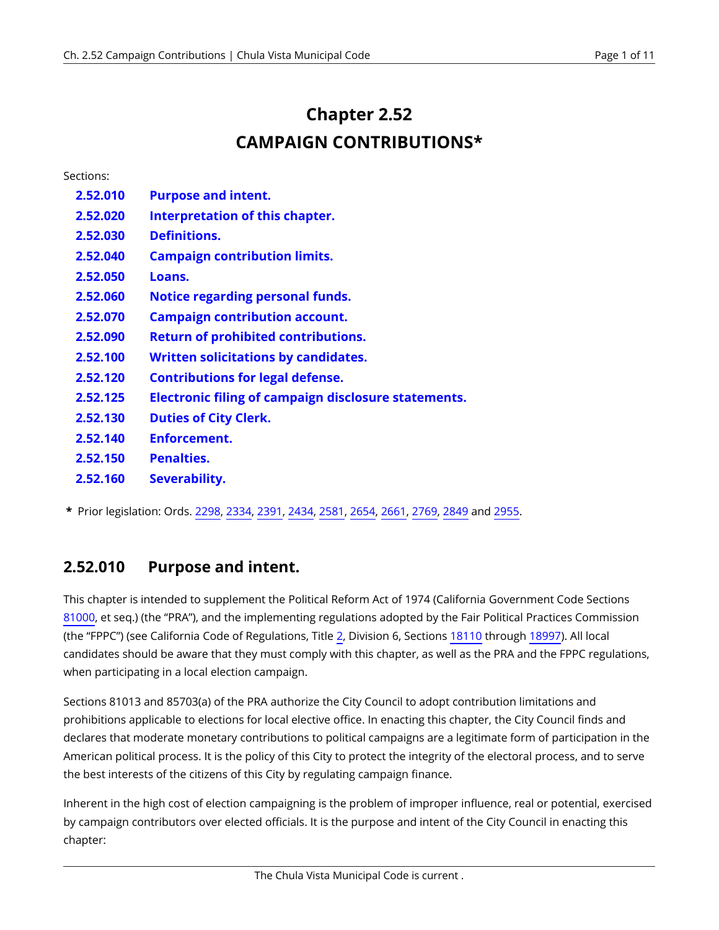# **Chapter 2.52 CAMPAIGN CONTRIBUTIONS\***

| Sections: |                                                             |
|-----------|-------------------------------------------------------------|
| 2.52.010  | <b>Purpose and intent.</b>                                  |
| 2.52.020  | Interpretation of this chapter.                             |
| 2.52.030  | <b>Definitions.</b>                                         |
| 2.52.040  | <b>Campaign contribution limits.</b>                        |
| 2.52.050  | Loans.                                                      |
| 2.52.060  | <b>Notice regarding personal funds.</b>                     |
| 2.52.070  | <b>Campaign contribution account.</b>                       |
| 2.52.090  | <b>Return of prohibited contributions.</b>                  |
| 2.52.100  | <b>Written solicitations by candidates.</b>                 |
| 2.52.120  | <b>Contributions for legal defense.</b>                     |
| 2.52.125  | <b>Electronic filing of campaign disclosure statements.</b> |
| 2.52.130  | <b>Duties of City Clerk.</b>                                |
| 2.52.140  | Enforcement.                                                |
| 2.52.150  | <b>Penalties.</b>                                           |
| 2.52.160  | Severability.                                               |

**\*** Prior legislation: Ords. [2298,](https://chulavista.municipal.codes/enactments/Ord2298?product=CVMC) [2334](https://chulavista.municipal.codes/enactments/Ord2334?product=CVMC), [2391,](https://chulavista.municipal.codes/enactments/Ord2391?product=CVMC) [2434](https://chulavista.municipal.codes/enactments/Ord2434?product=CVMC), [2581](https://chulavista.municipal.codes/enactments/Ord2581?product=CVMC), [2654,](https://chulavista.municipal.codes/enactments/Ord2654?product=CVMC) [2661](https://chulavista.municipal.codes/enactments/Ord2661?product=CVMC), [2769,](https://chulavista.municipal.codes/enactments/Ord2769?product=CVMC) [2849](https://chulavista.municipal.codes/enactments/Ord2849?product=CVMC) and [2955](https://chulavista.municipal.codes/enactments/Ord2955?product=CVMC).

#### <span id="page-0-0"></span>**2.52.010 Purpose and intent.**

This chapter is intended to supplement the Political Reform Act of 1974 (California Government Code Sections [81000](https://chulavista.municipal.codes/CA/GOV/81000), et seq.) (the "PRA"), and the implementing regulations adopted by the Fair Political Practices Commission (the "FPPC") (see California Code of Regulations, Title [2](https://chulavista.municipal.codes/CA/CCR/2), Division 6, Sections [18110](https://chulavista.municipal.codes/CA/CCR/18110) through [18997\)](https://chulavista.municipal.codes/CA/CCR/18997). All local candidates should be aware that they must comply with this chapter, as well as the PRA and the FPPC regulations, when participating in a local election campaign.

Sections 81013 and 85703(a) of the PRA authorize the City Council to adopt contribution limitations and prohibitions applicable to elections for local elective office. In enacting this chapter, the City Council finds and declares that moderate monetary contributions to political campaigns are a legitimate form of participation in the American political process. It is the policy of this City to protect the integrity of the electoral process, and to serve the best interests of the citizens of this City by regulating campaign finance.

Inherent in the high cost of election campaigning is the problem of improper influence, real or potential, exercised by campaign contributors over elected officials. It is the purpose and intent of the City Council in enacting this chapter: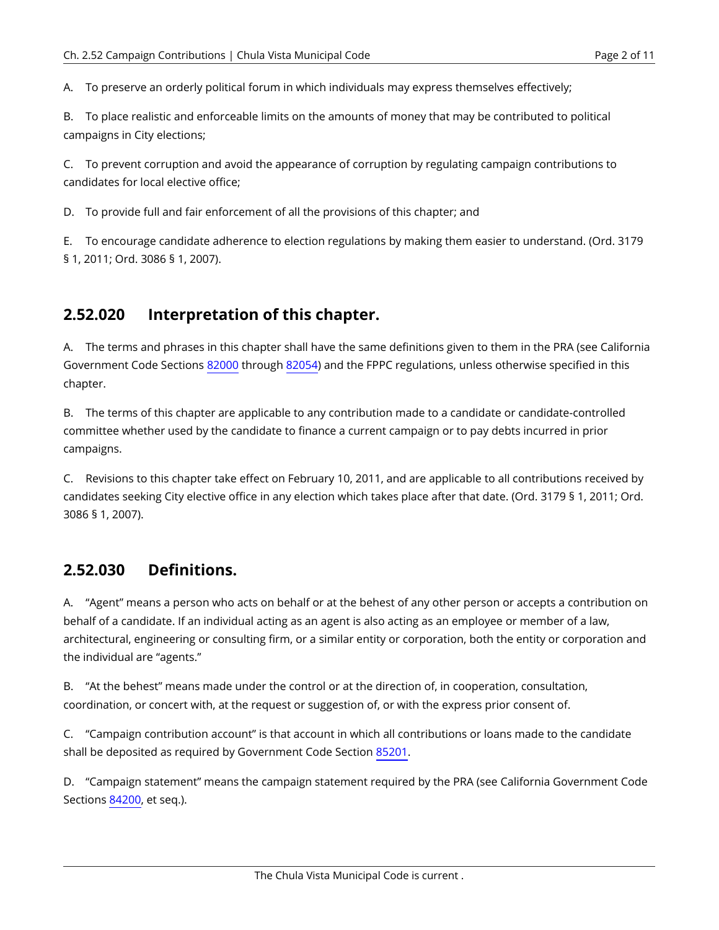A. To preserve an orderly political forum in which individuals may express themselves effectively;

B. To place realistic and enforceable limits on the amounts of money that may be contributed to political campaigns in City elections;

C. To prevent corruption and avoid the appearance of corruption by regulating campaign contributions to candidates for local elective office;

D. To provide full and fair enforcement of all the provisions of this chapter; and

E. To encourage candidate adherence to election regulations by making them easier to understand. (Ord. 3179 § 1, 2011; Ord. 3086 § 1, 2007).

#### <span id="page-1-0"></span>**2.52.020 Interpretation of this chapter.**

A. The terms and phrases in this chapter shall have the same definitions given to them in the PRA (see California Government Code Sections [82000](https://chulavista.municipal.codes/CA/GOV/82000) through [82054\)](https://chulavista.municipal.codes/CA/GOV/82054) and the FPPC regulations, unless otherwise specified in this chapter.

B. The terms of this chapter are applicable to any contribution made to a candidate or candidate-controlled committee whether used by the candidate to finance a current campaign or to pay debts incurred in prior campaigns.

C. Revisions to this chapter take effect on February 10, 2011, and are applicable to all contributions received by candidates seeking City elective office in any election which takes place after that date. (Ord. 3179 § 1, 2011; Ord. 3086 § 1, 2007).

#### <span id="page-1-1"></span>**2.52.030 Definitions.**

A. "Agent" means a person who acts on behalf or at the behest of any other person or accepts a contribution on behalf of a candidate. If an individual acting as an agent is also acting as an employee or member of a law, architectural, engineering or consulting firm, or a similar entity or corporation, both the entity or corporation and the individual are "agents."

B. "At the behest" means made under the control or at the direction of, in cooperation, consultation, coordination, or concert with, at the request or suggestion of, or with the express prior consent of.

C. "Campaign contribution account" is that account in which all contributions or loans made to the candidate shall be deposited as required by Government Code Section [85201](https://chulavista.municipal.codes/CA/GOV/85201).

D. "Campaign statement" means the campaign statement required by the PRA (see California Government Code Sections [84200](https://chulavista.municipal.codes/CA/GOV/84200), et seq.).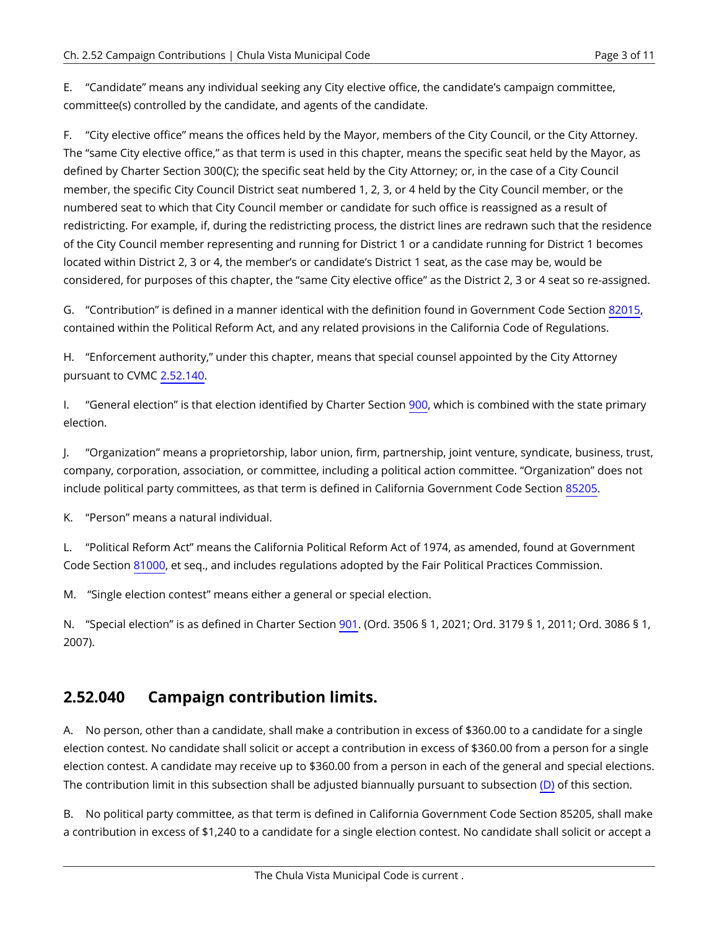E. "Candidate" means any individual seeking any City elective office, the candidate's campaign committee, committee(s) controlled by the candidate, and agents of the candidate.

F. "City elective office" means the offices held by the Mayor, members of the City Council, or the City Attorney. The "same City elective office," as that term is used in this chapter, means the specific seat held by the Mayor, as defined by Charter [Section 300\(C\)](https://chulavista.municipal.codes/Charter/Section%20300(C)); the specific seat held by the City Attorney; or, in the case of a City Council member, the specific City Council District seat numbered 1, 2, 3, or 4 held by the City Council member, or the numbered seat to which that City Council member or candidate for such office is reassigned as a result of redistricting. For example, if, during the redistricting process, the district lines are redrawn such that the residence of the City Council member representing and running for District 1 or a candidate running for District 1 becomes located within District 2, 3 or 4, the member's or candidate's District 1 seat, as the case may be, would be considered, for purposes of this chapter, the "same City elective office" as the District 2, 3 or 4 seat so re-assigned.

G. "Contribution" is defined in a manner identical with the definition found in Government Code Section [82015,](https://chulavista.municipal.codes/CA/GOV/82015) contained within the Political Reform Act, and any related provisions in the California Code of Regulations.

H. "Enforcement authority," under this chapter, means that special counsel appointed by the City Attorney pursuant to CVMC [2.52.140](#page-7-0).

I. "General election" is that election identified by Charter Section [900,](https://chulavista.municipal.codes/Charter/900) which is combined with the state primary election.

J. "Organization" means a proprietorship, labor union, firm, partnership, joint venture, syndicate, business, trust, company, corporation, association, or committee, including a political action committee. "Organization" does not include political party committees, as that term is defined in California Government Code Section [85205.](https://chulavista.municipal.codes/CA/GOV/85205)

K. "Person" means a natural individual.

L. "Political Reform Act" means the California Political Reform Act of 1974, as amended, found at Government Code Section [81000,](https://chulavista.municipal.codes/CA/GOV/81000) et seq., and includes regulations adopted by the Fair Political Practices Commission.

M. "Single election contest" means either a general or special election.

N. "Special election" is as defined in Charter Section [901](https://chulavista.municipal.codes/Charter/901). (Ord. 3506 § 1, 2021; Ord. 3179 § 1, 2011; Ord. 3086 § 1, 2007).

#### <span id="page-2-0"></span>**2.52.040 Campaign contribution limits.**

A. No person, other than a candidate, shall make a contribution in excess of \$360.00 to a candidate for a single election contest. No candidate shall solicit or accept a contribution in excess of \$360.00 from a person for a single election contest. A candidate may receive up to \$360.00 from a person in each of the general and special elections. The contribution limit in this subsection shall be adjusted biannually pursuant to subsection [\(D\)](#page-3-0) of this section.

B. No political party committee, as that term is defined in California Government Code Section 85205, shall make a contribution in excess of \$1,240 to a candidate for a single election contest. No candidate shall solicit or accept a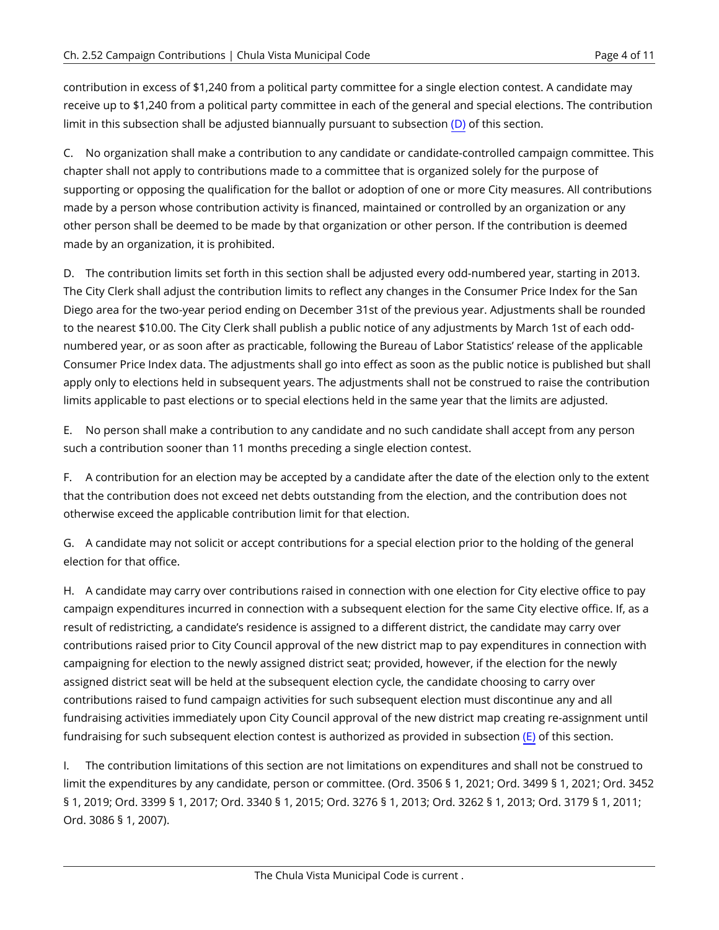contribution in excess of \$1,240 from a political party committee for a single election contest. A candidate may receive up to \$1,240 from a political party committee in each of the general and special elections. The contribution limit in this subsection shall be adjusted biannually pursuant to subsection [\(D\)](#page-3-0) of this section.

C. No organization shall make a contribution to any candidate or candidate-controlled campaign committee. This chapter shall not apply to contributions made to a committee that is organized solely for the purpose of supporting or opposing the qualification for the ballot or adoption of one or more City measures. All contributions made by a person whose contribution activity is financed, maintained or controlled by an organization or any other person shall be deemed to be made by that organization or other person. If the contribution is deemed made by an organization, it is prohibited.

<span id="page-3-0"></span>D. The contribution limits set forth in this section shall be adjusted every odd-numbered year, starting in 2013. The City Clerk shall adjust the contribution limits to reflect any changes in the Consumer Price Index for the San Diego area for the two-year period ending on December 31st of the previous year. Adjustments shall be rounded to the nearest \$10.00. The City Clerk shall publish a public notice of any adjustments by March 1st of each oddnumbered year, or as soon after as practicable, following the Bureau of Labor Statistics' release of the applicable Consumer Price Index data. The adjustments shall go into effect as soon as the public notice is published but shall apply only to elections held in subsequent years. The adjustments shall not be construed to raise the contribution limits applicable to past elections or to special elections held in the same year that the limits are adjusted.

<span id="page-3-1"></span>E. No person shall make a contribution to any candidate and no such candidate shall accept from any person such a contribution sooner than 11 months preceding a single election contest.

F. A contribution for an election may be accepted by a candidate after the date of the election only to the extent that the contribution does not exceed net debts outstanding from the election, and the contribution does not otherwise exceed the applicable contribution limit for that election.

G. A candidate may not solicit or accept contributions for a special election prior to the holding of the general election for that office.

H. A candidate may carry over contributions raised in connection with one election for City elective office to pay campaign expenditures incurred in connection with a subsequent election for the same City elective office. If, as a result of redistricting, a candidate's residence is assigned to a different district, the candidate may carry over contributions raised prior to City Council approval of the new district map to pay expenditures in connection with campaigning for election to the newly assigned district seat; provided, however, if the election for the newly assigned district seat will be held at the subsequent election cycle, the candidate choosing to carry over contributions raised to fund campaign activities for such subsequent election must discontinue any and all fundraising activities immediately upon City Council approval of the new district map creating re-assignment until fundraising for such subsequent election contest is authorized as provided in subsection [\(E\)](#page-3-1) of this section.

I. The contribution limitations of this section are not limitations on expenditures and shall not be construed to limit the expenditures by any candidate, person or committee. (Ord. 3506 § 1, 2021; Ord. 3499 § 1, 2021; Ord. 3452 § 1, 2019; Ord. 3399 § 1, 2017; Ord. 3340 § 1, 2015; Ord. 3276 § 1, 2013; Ord. 3262 § 1, 2013; Ord. 3179 § 1, 2011; Ord. 3086 § 1, 2007).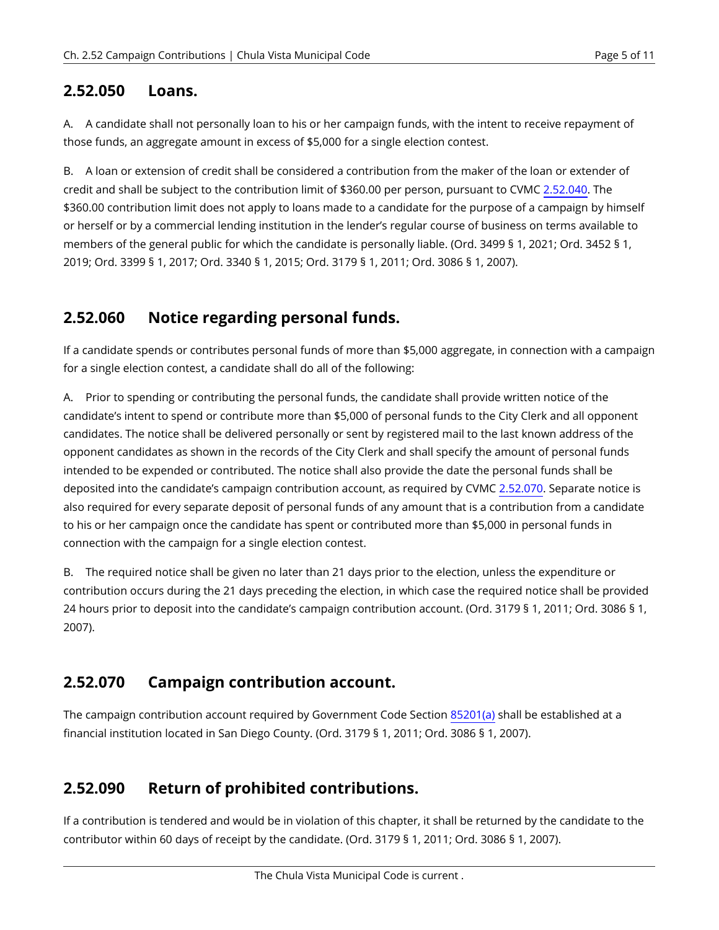#### <span id="page-4-0"></span>**2.52.050 Loans.**

A. A candidate shall not personally loan to his or her campaign funds, with the intent to receive repayment of those funds, an aggregate amount in excess of \$5,000 for a single election contest.

B. A loan or extension of credit shall be considered a contribution from the maker of the loan or extender of credit and shall be subject to the contribution limit of \$360.00 per person, pursuant to CVMC [2.52.040](#page-2-0). The \$360.00 contribution limit does not apply to loans made to a candidate for the purpose of a campaign by himself or herself or by a commercial lending institution in the lender's regular course of business on terms available to members of the general public for which the candidate is personally liable. (Ord. 3499 § 1, 2021; Ord. 3452 § 1, 2019; Ord. 3399 § 1, 2017; Ord. 3340 § 1, 2015; Ord. 3179 § 1, 2011; Ord. 3086 § 1, 2007).

## <span id="page-4-1"></span>**2.52.060 Notice regarding personal funds.**

If a candidate spends or contributes personal funds of more than \$5,000 aggregate, in connection with a campaign for a single election contest, a candidate shall do all of the following:

A. Prior to spending or contributing the personal funds, the candidate shall provide written notice of the candidate's intent to spend or contribute more than \$5,000 of personal funds to the City Clerk and all opponent candidates. The notice shall be delivered personally or sent by registered mail to the last known address of the opponent candidates as shown in the records of the City Clerk and shall specify the amount of personal funds intended to be expended or contributed. The notice shall also provide the date the personal funds shall be deposited into the candidate's campaign contribution account, as required by CVMC [2.52.070.](#page-4-2) Separate notice is also required for every separate deposit of personal funds of any amount that is a contribution from a candidate to his or her campaign once the candidate has spent or contributed more than \$5,000 in personal funds in connection with the campaign for a single election contest.

B. The required notice shall be given no later than 21 days prior to the election, unless the expenditure or contribution occurs during the 21 days preceding the election, in which case the required notice shall be provided 24 hours prior to deposit into the candidate's campaign contribution account. (Ord. 3179 § 1, 2011; Ord. 3086 § 1, 2007).

## <span id="page-4-2"></span>**2.52.070 Campaign contribution account.**

The campaign contribution account required by Government Code Section [85201\(a\)](https://chulavista.municipal.codes/CA/GOV/85201(a)) shall be established at a financial institution located in San Diego County. (Ord. 3179 § 1, 2011; Ord. 3086 § 1, 2007).

## <span id="page-4-3"></span>**2.52.090 Return of prohibited contributions.**

If a contribution is tendered and would be in violation of this chapter, it shall be returned by the candidate to the contributor within 60 days of receipt by the candidate. (Ord. 3179 § 1, 2011; Ord. 3086 § 1, 2007).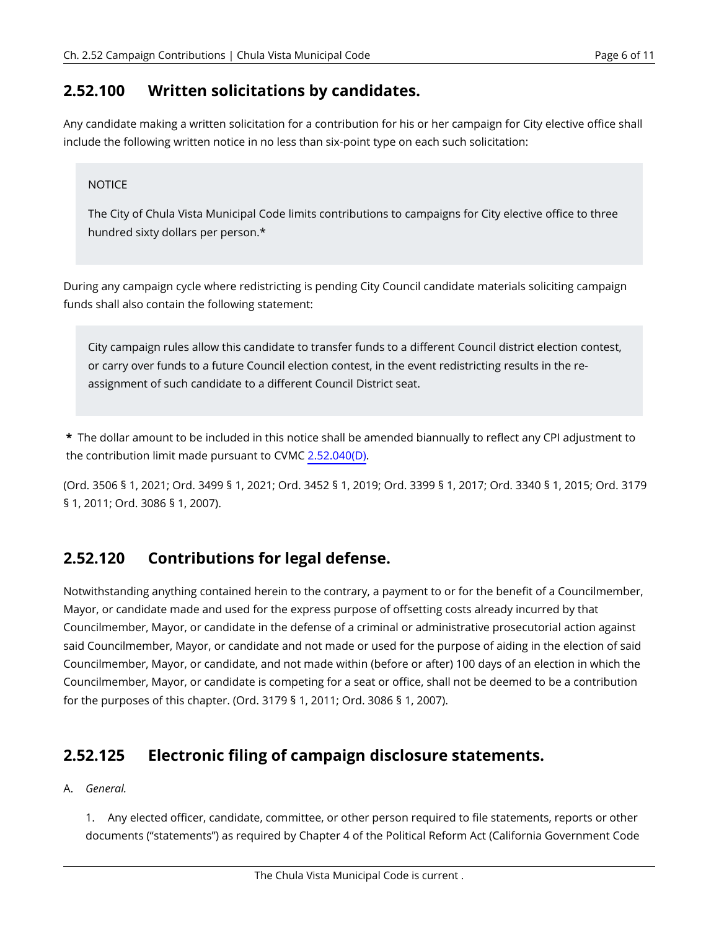#### <span id="page-5-0"></span>**2.52.100 Written solicitations by candidates.**

Any candidate making a written solicitation for a contribution for his or her campaign for City elective office shall include the following written notice in no less than six-point type on each such solicitation:

#### NOTICE

The City of Chula Vista Municipal Code limits contributions to campaigns for City elective office to three hundred sixty dollars per person.\*

During any campaign cycle where redistricting is pending City Council candidate materials soliciting campaign funds shall also contain the following statement:

City campaign rules allow this candidate to transfer funds to a different Council district election contest, or carry over funds to a future Council election contest, in the event redistricting results in the reassignment of such candidate to a different Council District seat.

**\*** The dollar amount to be included in this notice shall be amended biannually to reflect any CPI adjustment to the contribution limit made pursuant to CVMC [2.52.040\(D\)](#page-3-0).

(Ord. 3506 § 1, 2021; Ord. 3499 § 1, 2021; Ord. 3452 § 1, 2019; Ord. 3399 § 1, 2017; Ord. 3340 § 1, 2015; Ord. 3179 § 1, 2011; Ord. 3086 § 1, 2007).

## <span id="page-5-1"></span>**2.52.120 Contributions for legal defense.**

Notwithstanding anything contained herein to the contrary, a payment to or for the benefit of a Councilmember, Mayor, or candidate made and used for the express purpose of offsetting costs already incurred by that Councilmember, Mayor, or candidate in the defense of a criminal or administrative prosecutorial action against said Councilmember, Mayor, or candidate and not made or used for the purpose of aiding in the election of said Councilmember, Mayor, or candidate, and not made within (before or after) 100 days of an election in which the Councilmember, Mayor, or candidate is competing for a seat or office, shall not be deemed to be a contribution for the purposes of this chapter. (Ord. 3179 § 1, 2011; Ord. 3086 § 1, 2007).

## <span id="page-5-2"></span>**2.52.125 Electronic filing of campaign disclosure statements.**

#### A. *General.*

1. Any elected officer, candidate, committee, or other person required to file statements, reports or other documents ("statements") as required by Chapter 4 of the Political Reform Act (California Government Code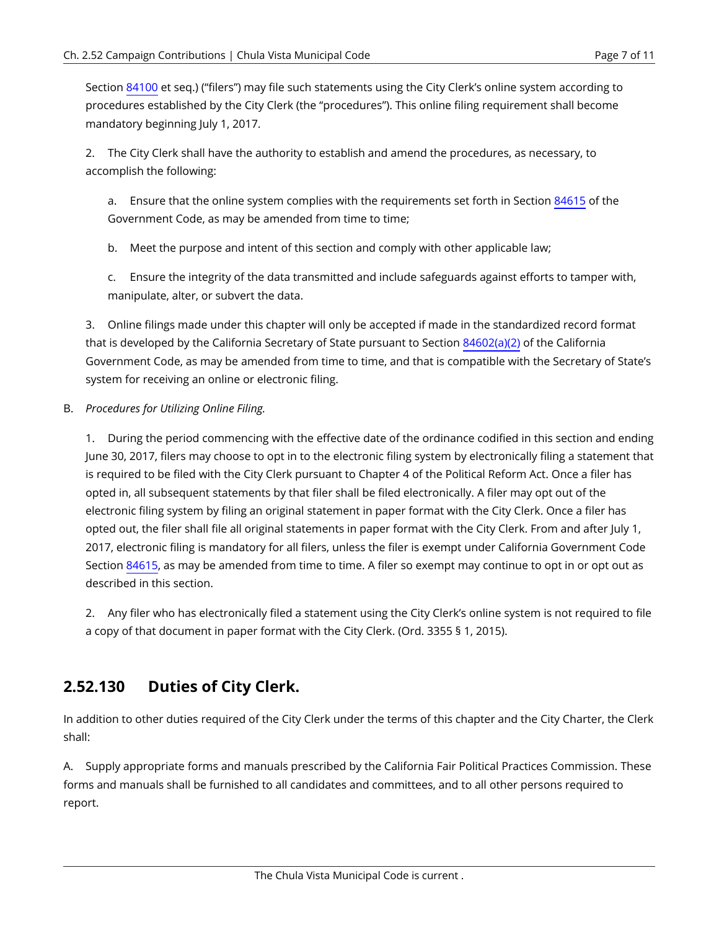Section [84100](https://chulavista.municipal.codes/CA/GOV/84100) et seq.) ("filers") may file such statements using the City Clerk's online system according to procedures established by the City Clerk (the "procedures"). This online filing requirement shall become mandatory beginning July 1, 2017.

2. The City Clerk shall have the authority to establish and amend the procedures, as necessary, to accomplish the following:

a. Ensure that the online system complies with the requirements set forth in Section [84615](https://chulavista.municipal.codes/CA/GOV/84615) of the Government Code, as may be amended from time to time;

b. Meet the purpose and intent of this section and comply with other applicable law;

c. Ensure the integrity of the data transmitted and include safeguards against efforts to tamper with, manipulate, alter, or subvert the data.

3. Online filings made under this chapter will only be accepted if made in the standardized record format that is developed by the California Secretary of State pursuant to Section [84602\(a\)\(2\)](https://chulavista.municipal.codes/CA/GOV/84602(a)(2)) of the California Government Code, as may be amended from time to time, and that is compatible with the Secretary of State's system for receiving an online or electronic filing.

#### B. *Procedures for Utilizing Online Filing.*

1. During the period commencing with the effective date of the ordinance codified in this section and ending June 30, 2017, filers may choose to opt in to the electronic filing system by electronically filing a statement that is required to be filed with the City Clerk pursuant to Chapter 4 of the Political Reform Act. Once a filer has opted in, all subsequent statements by that filer shall be filed electronically. A filer may opt out of the electronic filing system by filing an original statement in paper format with the City Clerk. Once a filer has opted out, the filer shall file all original statements in paper format with the City Clerk. From and after July 1, 2017, electronic filing is mandatory for all filers, unless the filer is exempt under California Government Code Section [84615,](https://chulavista.municipal.codes/CA/GOV/84615) as may be amended from time to time. A filer so exempt may continue to opt in or opt out as described in this section.

2. Any filer who has electronically filed a statement using the City Clerk's online system is not required to file a copy of that document in paper format with the City Clerk. (Ord. 3355 § 1, 2015).

#### <span id="page-6-0"></span>**2.52.130 Duties of City Clerk.**

In addition to other duties required of the City Clerk under the terms of this chapter and the City Charter, the Clerk shall:

A. Supply appropriate forms and manuals prescribed by the California Fair Political Practices Commission. These forms and manuals shall be furnished to all candidates and committees, and to all other persons required to report.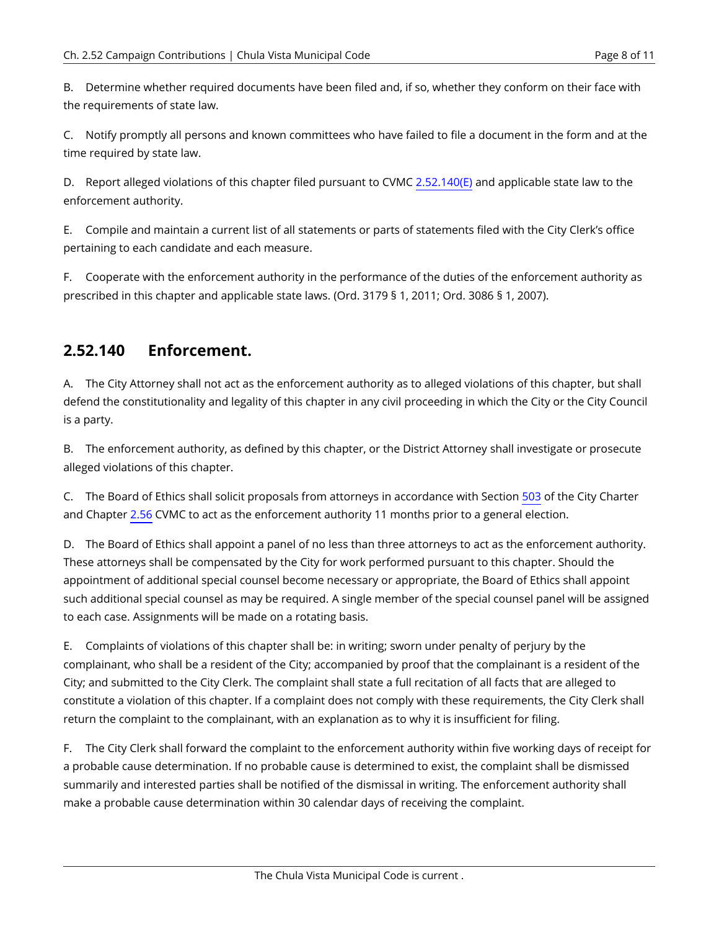B. Determine whether required documents have been filed and, if so, whether they conform on their face with the requirements of state law.

C. Notify promptly all persons and known committees who have failed to file a document in the form and at the time required by state law.

D. Report alleged violations of this chapter filed pursuant to CVMC [2.52.140\(E\)](#page-7-1) and applicable state law to the enforcement authority.

E. Compile and maintain a current list of all statements or parts of statements filed with the City Clerk's office pertaining to each candidate and each measure.

F. Cooperate with the enforcement authority in the performance of the duties of the enforcement authority as prescribed in this chapter and applicable state laws. (Ord. 3179 § 1, 2011; Ord. 3086 § 1, 2007).

#### <span id="page-7-0"></span>**2.52.140 Enforcement.**

A. The City Attorney shall not act as the enforcement authority as to alleged violations of this chapter, but shall defend the constitutionality and legality of this chapter in any civil proceeding in which the City or the City Council is a party.

B. The enforcement authority, as defined by this chapter, or the District Attorney shall investigate or prosecute alleged violations of this chapter.

C. The Board of Ethics shall solicit proposals from attorneys in accordance with Section [503](https://chulavista.municipal.codes/Charter/503) of the City Charter and Chapter [2.56](https://chulavista.municipal.codes/CVMC/2.56) CVMC to act as the enforcement authority 11 months prior to a general election.

D. The Board of Ethics shall appoint a panel of no less than three attorneys to act as the enforcement authority. These attorneys shall be compensated by the City for work performed pursuant to this chapter. Should the appointment of additional special counsel become necessary or appropriate, the Board of Ethics shall appoint such additional special counsel as may be required. A single member of the special counsel panel will be assigned to each case. Assignments will be made on a rotating basis.

<span id="page-7-1"></span>E. Complaints of violations of this chapter shall be: in writing; sworn under penalty of perjury by the complainant, who shall be a resident of the City; accompanied by proof that the complainant is a resident of the City; and submitted to the City Clerk. The complaint shall state a full recitation of all facts that are alleged to constitute a violation of this chapter. If a complaint does not comply with these requirements, the City Clerk shall return the complaint to the complainant, with an explanation as to why it is insufficient for filing.

F. The City Clerk shall forward the complaint to the enforcement authority within five working days of receipt for a probable cause determination. If no probable cause is determined to exist, the complaint shall be dismissed summarily and interested parties shall be notified of the dismissal in writing. The enforcement authority shall make a probable cause determination within 30 calendar days of receiving the complaint.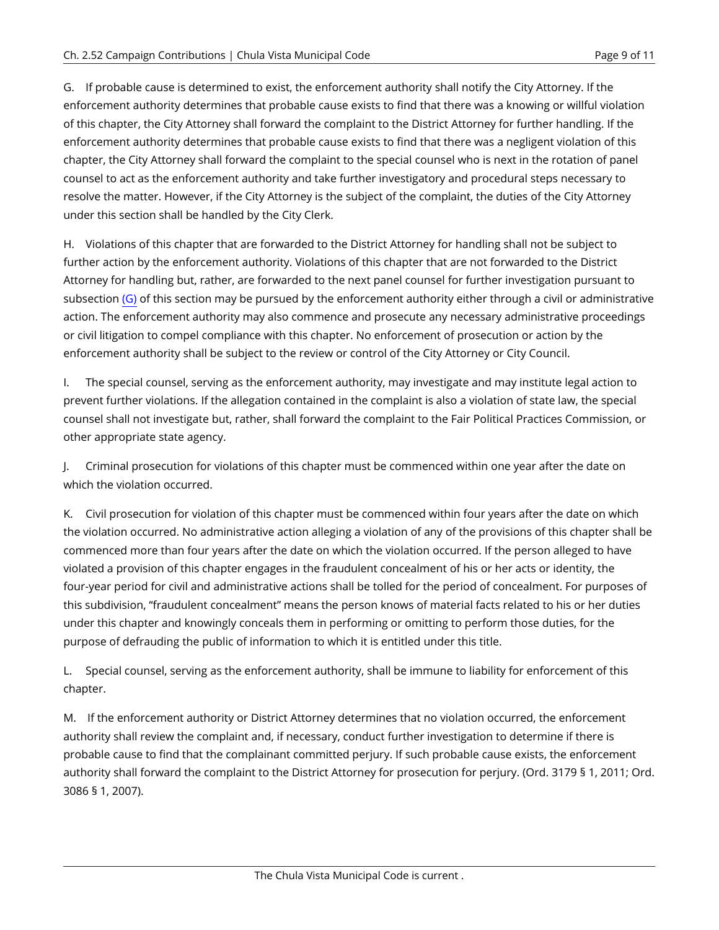<span id="page-8-0"></span>G. If probable cause is determined to exist, the enforcement authority shall notify the City Attorney. If the enforcement authority determines that probable cause exists to find that there was a knowing or willful violation of this chapter, the City Attorney shall forward the complaint to the District Attorney for further handling. If the enforcement authority determines that probable cause exists to find that there was a negligent violation of this chapter, the City Attorney shall forward the complaint to the special counsel who is next in the rotation of panel counsel to act as the enforcement authority and take further investigatory and procedural steps necessary to resolve the matter. However, if the City Attorney is the subject of the complaint, the duties of the City Attorney under this section shall be handled by the City Clerk.

H. Violations of this chapter that are forwarded to the District Attorney for handling shall not be subject to further action by the enforcement authority. Violations of this chapter that are not forwarded to the District Attorney for handling but, rather, are forwarded to the next panel counsel for further investigation pursuant to subsection  $(G)$  of this section may be pursued by the enforcement authority either through a civil or administrative action. The enforcement authority may also commence and prosecute any necessary administrative proceedings or civil litigation to compel compliance with this chapter. No enforcement of prosecution or action by the enforcement authority shall be subject to the review or control of the City Attorney or City Council.

I. The special counsel, serving as the enforcement authority, may investigate and may institute legal action to prevent further violations. If the allegation contained in the complaint is also a violation of state law, the special counsel shall not investigate but, rather, shall forward the complaint to the Fair Political Practices Commission, or other appropriate state agency.

J. Criminal prosecution for violations of this chapter must be commenced within one year after the date on which the violation occurred.

K. Civil prosecution for violation of this chapter must be commenced within four years after the date on which the violation occurred. No administrative action alleging a violation of any of the provisions of this chapter shall be commenced more than four years after the date on which the violation occurred. If the person alleged to have violated a provision of this chapter engages in the fraudulent concealment of his or her acts or identity, the four-year period for civil and administrative actions shall be tolled for the period of concealment. For purposes of this subdivision, "fraudulent concealment" means the person knows of material facts related to his or her duties under this chapter and knowingly conceals them in performing or omitting to perform those duties, for the purpose of defrauding the public of information to which it is entitled under this title.

L. Special counsel, serving as the enforcement authority, shall be immune to liability for enforcement of this chapter.

M. If the enforcement authority or District Attorney determines that no violation occurred, the enforcement authority shall review the complaint and, if necessary, conduct further investigation to determine if there is probable cause to find that the complainant committed perjury. If such probable cause exists, the enforcement authority shall forward the complaint to the District Attorney for prosecution for perjury. (Ord. 3179 § 1, 2011; Ord. 3086 § 1, 2007).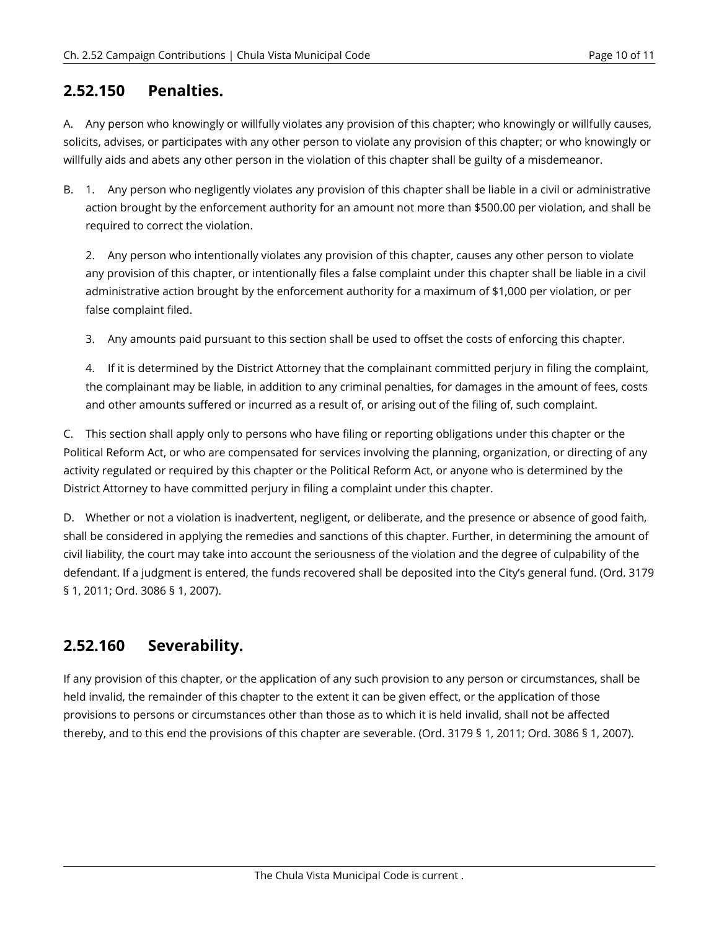#### <span id="page-9-0"></span>**2.52.150 Penalties.**

A. Any person who knowingly or willfully violates any provision of this chapter; who knowingly or willfully causes, solicits, advises, or participates with any other person to violate any provision of this chapter; or who knowingly or willfully aids and abets any other person in the violation of this chapter shall be guilty of a misdemeanor.

B. 1. Any person who negligently violates any provision of this chapter shall be liable in a civil or administrative action brought by the enforcement authority for an amount not more than \$500.00 per violation, and shall be required to correct the violation.

2. Any person who intentionally violates any provision of this chapter, causes any other person to violate any provision of this chapter, or intentionally files a false complaint under this chapter shall be liable in a civil administrative action brought by the enforcement authority for a maximum of \$1,000 per violation, or per false complaint filed.

3. Any amounts paid pursuant to this section shall be used to offset the costs of enforcing this chapter.

4. If it is determined by the District Attorney that the complainant committed perjury in filing the complaint, the complainant may be liable, in addition to any criminal penalties, for damages in the amount of fees, costs and other amounts suffered or incurred as a result of, or arising out of the filing of, such complaint.

C. This section shall apply only to persons who have filing or reporting obligations under this chapter or the Political Reform Act, or who are compensated for services involving the planning, organization, or directing of any activity regulated or required by this chapter or the Political Reform Act, or anyone who is determined by the District Attorney to have committed perjury in filing a complaint under this chapter.

D. Whether or not a violation is inadvertent, negligent, or deliberate, and the presence or absence of good faith, shall be considered in applying the remedies and sanctions of this chapter. Further, in determining the amount of civil liability, the court may take into account the seriousness of the violation and the degree of culpability of the defendant. If a judgment is entered, the funds recovered shall be deposited into the City's general fund. (Ord. 3179 § 1, 2011; Ord. 3086 § 1, 2007).

## <span id="page-9-1"></span>**2.52.160 Severability.**

If any provision of this chapter, or the application of any such provision to any person or circumstances, shall be held invalid, the remainder of this chapter to the extent it can be given effect, or the application of those provisions to persons or circumstances other than those as to which it is held invalid, shall not be affected thereby, and to this end the provisions of this chapter are severable. (Ord. 3179 § 1, 2011; Ord. 3086 § 1, 2007).